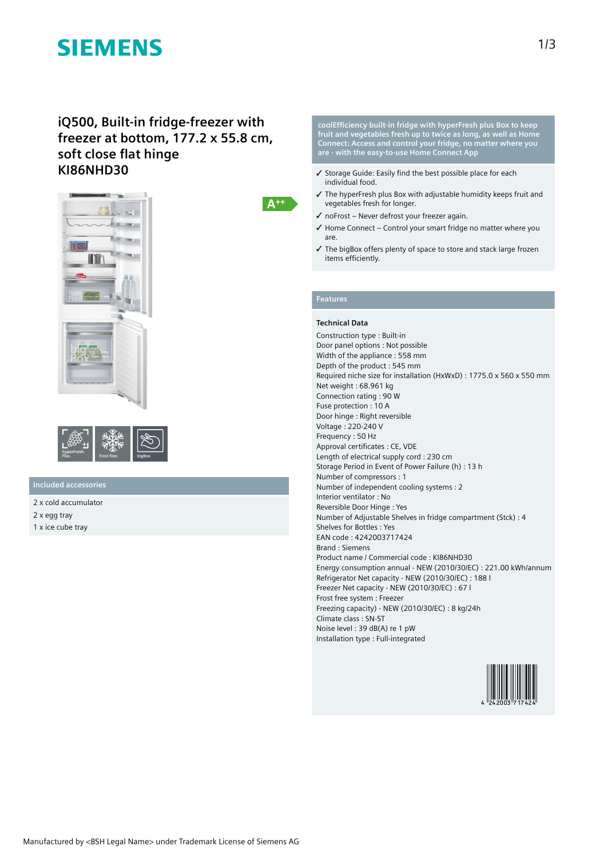# **SIEMENS**

### **iQ500, Built-in fridge-freezer with freezer at bottom, 177.2 x 55.8 cm, soft close flat hinge KI86NHD30**





### **Included accessories**

2 x cold accumulator 2 x egg tray 1 x ice cube tray

**coolEfficiency built-in fridge with hyperFresh plus Box to keep fruit and vegetables fresh up to twice as long, as well as Home Connect: Access and control your fridge, no matter where you are - with the easy-to-use Home Connect App**

- ✓ Storage Guide: Easily find the best possible place for each individual food.
- ✓ The hyperFresh plus Box with adjustable humidity keeps fruit and vegetables fresh for longer.
- ✓ noFrost Never defrost your freezer again.
- ✓ Home Connect Control your smart fridge no matter where you are.
- ✓ The bigBox offers plenty of space to store and stack large frozen items efficiently.

### **Features**

 $A^{++}$ 

#### **Technical Data**

Construction type : Built-in Door panel options : Not possible Width of the appliance : 558 mm Depth of the product : 545 mm Required niche size for installation (HxWxD) : 1775.0 x 560 x 550 mm Net weight : 68.961 kg Connection rating : 90 W Fuse protection : 10 A Door hinge : Right reversible Voltage : 220-240 V Frequency : 50 Hz Approval certificates : CE, VDE Length of electrical supply cord : 230 cm Storage Period in Event of Power Failure (h) : 13 h Number of compressors : 1 Number of independent cooling systems : 2 Interior ventilator : No Reversible Door Hinge : Yes Number of Adjustable Shelves in fridge compartment (Stck) : 4 Shelves for Bottles : Yes EAN code : 4242003717424 Brand : Siemens Product name / Commercial code : KI86NHD30 Energy consumption annual - NEW (2010/30/EC) : 221.00 kWh/annum Refrigerator Net capacity - NEW (2010/30/EC) : 188 l Freezer Net capacity - NEW (2010/30/EC) : 67 l Frost free system : Freezer Freezing capacity) - NEW (2010/30/EC) : 8 kg/24h Climate class : SN-ST Noise level : 39 dB(A) re 1 pW Installation type : Full-integrated

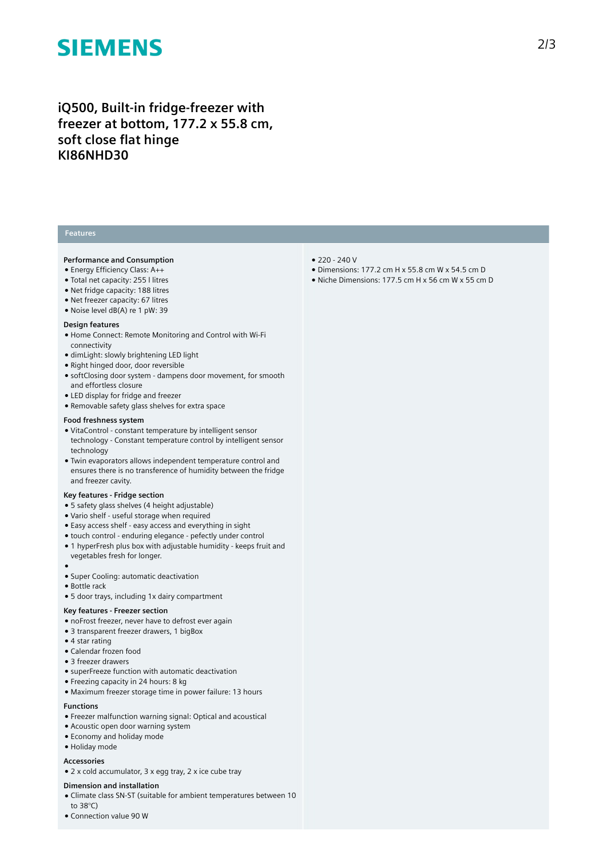# **SIEMENS**

**iQ500, Built-in fridge-freezer with freezer at bottom, 177.2 x 55.8 cm, soft close flat hinge KI86NHD30**

#### **Features**

#### **Performance and Consumption**

- Energy Efficiency Class: A++
- Total net capacity: 255 l litres
- Net fridge capacity: 188 litres
- Net freezer capacity: 67 litres
- Noise level dB(A) re 1 pW: 39

#### **Design features**

- Home Connect: Remote Monitoring and Control with Wi-Fi connectivity
- dimLight: slowly brightening LED light
- Right hinged door, door reversible
- softClosing door system dampens door movement, for smooth and effortless closure
- LED display for fridge and freezer
- Removable safety glass shelves for extra space

#### **Food freshness system**

- VitaControl constant temperature by intelligent sensor technology - Constant temperature control by intelligent sensor technology
- Twin evaporators allows independent temperature control and ensures there is no transference of humidity between the fridge and freezer cavity.

#### **Key features - Fridge section**

- 5 safety glass shelves (4 height adjustable)
- Vario shelf useful storage when required
- Easy access shelf easy access and everything in sight
- touch control enduring elegance pefectly under control
- 1 hyperFresh plus box with adjustable humidity keeps fruit and vegetables fresh for longer.
- ●
- Super Cooling: automatic deactivation
- Bottle rack
- 5 door trays, including 1x dairy compartment

#### **Key features - Freezer section**

- noFrost freezer, never have to defrost ever again
- 3 transparent freezer drawers, 1 bigBox
- 4 star rating
- Calendar frozen food
- 3 freezer drawers
- superFreeze function with automatic deactivation
- Freezing capacity in 24 hours: 8 kg
- Maximum freezer storage time in power failure: 13 hours

#### **Functions**

- Freezer malfunction warning signal: Optical and acoustical
- Acoustic open door warning system
- Economy and holiday mode
- Holiday mode

#### **Accessories**

● 2 x cold accumulator, 3 x egg tray, 2 x ice cube tray

#### **Dimension and installation**

- Climate class SN-ST (suitable for ambient temperatures between 10 to 38°C)
- Connection value 90 W
- 220 240 V
- Dimensions: 177.2 cm H x 55.8 cm W x 54.5 cm D
- Niche Dimensions: 177.5 cm H x 56 cm W x 55 cm D